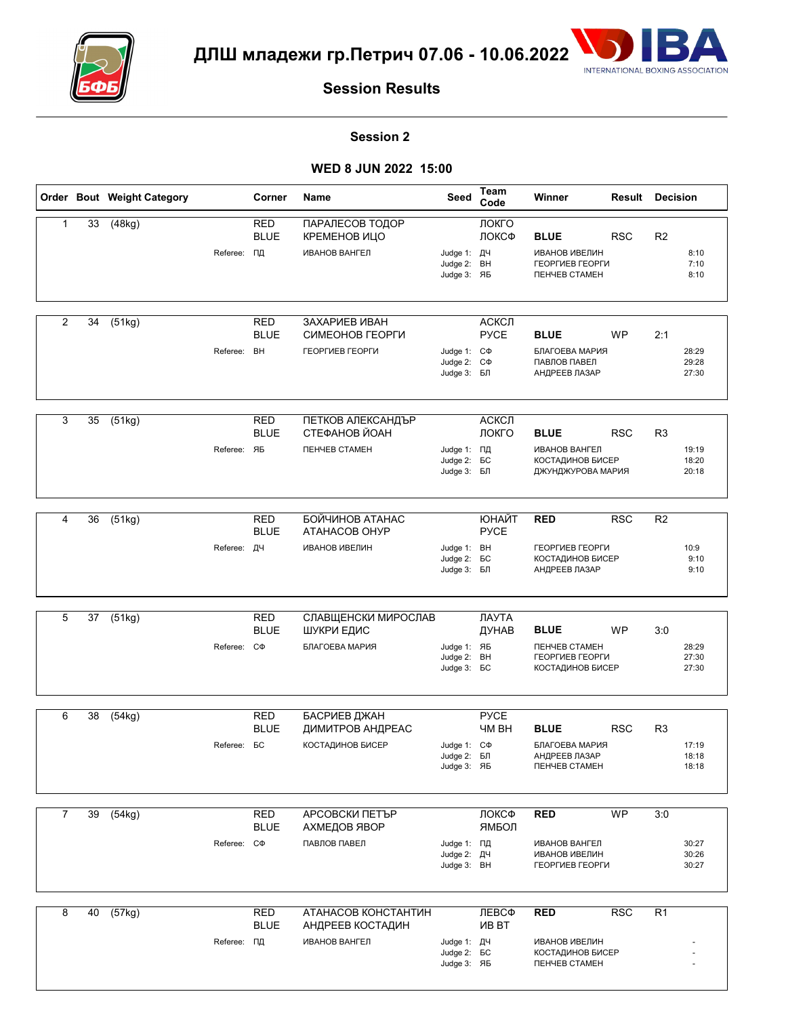



#### **Session 2**

|                |    | Order Bout Weight Category |                    | Corner                          | Name                                                                     | Seed                                                  | Team<br>Code                | Winner                                                                                | <b>Result Decision</b> |                |                         |
|----------------|----|----------------------------|--------------------|---------------------------------|--------------------------------------------------------------------------|-------------------------------------------------------|-----------------------------|---------------------------------------------------------------------------------------|------------------------|----------------|-------------------------|
| $\mathbf{1}$   | 33 | (48kg)                     | Referee: ПД        | <b>RED</b><br><b>BLUE</b>       | ПАРАЛЕСОВ ТОДОР<br>КРЕМЕНОВ ИЦО<br><b>ИВАНОВ ВАНГЕЛ</b>                  | Judge 1: ДЧ<br>Judge 2: BH<br>Judge 3: ЯБ             | ЛОКГО<br>ЛОКСФ              | <b>BLUE</b><br><b>ИВАНОВ ИВЕЛИН</b><br>ГЕОРГИЕВ ГЕОРГИ<br><b><i>ΠΕΗΥΕΒ CTAMEH</i></b> | <b>RSC</b>             | R <sub>2</sub> | 8:10<br>7:10<br>8:10    |
| $\overline{2}$ | 34 | (51kg)                     | Referee:           | <b>RED</b><br><b>BLUE</b><br>BH | ЗАХАРИЕВ ИВАН<br>СИМЕОНОВ ГЕОРГИ<br>ГЕОРГИЕВ ГЕОРГИ                      | Judge 1: C $\Phi$<br>Judge 2: C $\Phi$<br>Judge 3: БЛ | АСКСЛ<br><b>PYCE</b>        | <b>BLUE</b><br>БЛАГОЕВА МАРИЯ<br>ПАВЛОВ ПАВЕЛ<br>АНДРЕЕВ ЛАЗАР                        | WP                     | 2:1            | 28:29<br>29:28<br>27:30 |
| 3              | 35 | (51kg)                     | Referee: ЯБ        | <b>RED</b><br><b>BLUE</b>       | ПЕТКОВ АЛЕКСАНДЪР<br>СТЕФАНОВ ЙОАН<br><b><i><u>NEHYEB CTAMEH</u></i></b> | Judge 1: ПД<br>Judge 2: <b>6C</b><br>Judge 3: БЛ      | АСКСЛ<br>ЛОКГО              | <b>BLUE</b><br><b>ИВАНОВ ВАНГЕЛ</b><br><b>КОСТАДИНОВ БИСЕР</b><br>ДЖУНДЖУРОВА МАРИЯ   | <b>RSC</b>             | R <sub>3</sub> | 19:19<br>18:20<br>20:18 |
| 4              | 36 | (51kg)                     | Referee: ДЧ        | <b>RED</b><br><b>BLUE</b>       | БОЙЧИНОВ АТАНАС<br>ATAHACOB OHYP<br><b>ИВАНОВ ИВЕЛИН</b>                 | Judge 1: BH<br>Judge 2: <b>BC</b><br>Judge 3: БЛ      | <b>ЮНАЙТ</b><br><b>PYCE</b> | <b>RED</b><br>ГЕОРГИЕВ ГЕОРГИ<br>КОСТАДИНОВ БИСЕР<br>АНДРЕЕВ ЛАЗАР                    | <b>RSC</b>             | R <sub>2</sub> | 10:9<br>9:10<br>9:10    |
| 5              | 37 | (51kg)                     | Referee: C $\Phi$  | <b>RED</b><br><b>BLUE</b>       | СЛАВЩЕНСКИ МИРОСЛАВ<br>ШУКРИ ЕДИС<br>БЛАГОЕВА МАРИЯ                      | Judge 1: ЯБ<br>Judge 2: BH<br>Judge 3: <b>BC</b>      | ЛАУТА<br>ДУНАВ              | <b>BLUE</b><br><b><i>ΠΕΗΥΕΒ CTAMEH</i></b><br>ГЕОРГИЕВ ГЕОРГИ<br>КОСТАДИНОВ БИСЕР     | <b>WP</b>              | 3:0            | 28:29<br>27:30<br>27:30 |
| 6              | 38 | (54kg)                     | Referee: <b>BC</b> | <b>RED</b><br><b>BLUE</b>       | БАСРИЕВ ДЖАН<br>ДИМИТРОВ АНДРЕАС<br><b>КОСТАДИНОВ БИСЕР</b>              | Judge 1: C $\Phi$<br>$Judge 2:$ $BI$<br>Judge 3: ЯБ   | <b>PYCE</b><br><b>HM BH</b> | <b>BLUE</b><br>БЛАГОЕВА МАРИЯ<br>АНДРЕЕВ ЛАЗАР<br><b><i>ΠΕΗΥΕΒ CTAMEH</i></b>         | <b>RSC</b>             | R <sub>3</sub> | 17:19<br>18:18<br>18:18 |
| $\overline{7}$ | 39 | (54kg)                     | Referee: C $\Phi$  | <b>RED</b><br><b>BLUE</b>       | АРСОВСКИ ПЕТЪР<br>АХМЕДОВ ЯВОР<br>ПАВЛОВ ПАВЕЛ                           | Judge 1: ПД<br>Judge 2: ДЧ<br>Judge 3: BH             | ЛОКСФ<br>ЯМБОЛ              | <b>RED</b><br><b>ИВАНОВ ВАНГЕЛ</b><br><b>ИВАНОВ ИВЕЛИН</b><br>ГЕОРГИЕВ ГЕОРГИ         | <b>WP</b>              | 3:0            | 30:27<br>30:26<br>30:27 |
| 8              | 40 | (57kg)                     | Referee: ПД        | <b>RED</b><br><b>BLUE</b>       | АТАНАСОВ КОНСТАНТИН<br>АНДРЕЕВ КОСТАДИН<br><b>ИВАНОВ ВАНГЕЛ</b>          | Judge 1: ДЧ<br>Judge 2: <b>6C</b><br>Judge 3: ЯБ      | ЛЕВСФ<br><b>VIB BT</b>      | <b>RED</b><br>ИВАНОВ ИВЕЛИН<br><b>КОСТАДИНОВ БИСЕР</b><br><b><i>ΠΕΗΥΕΒ CTAMEH</i></b> | <b>RSC</b>             | R <sub>1</sub> |                         |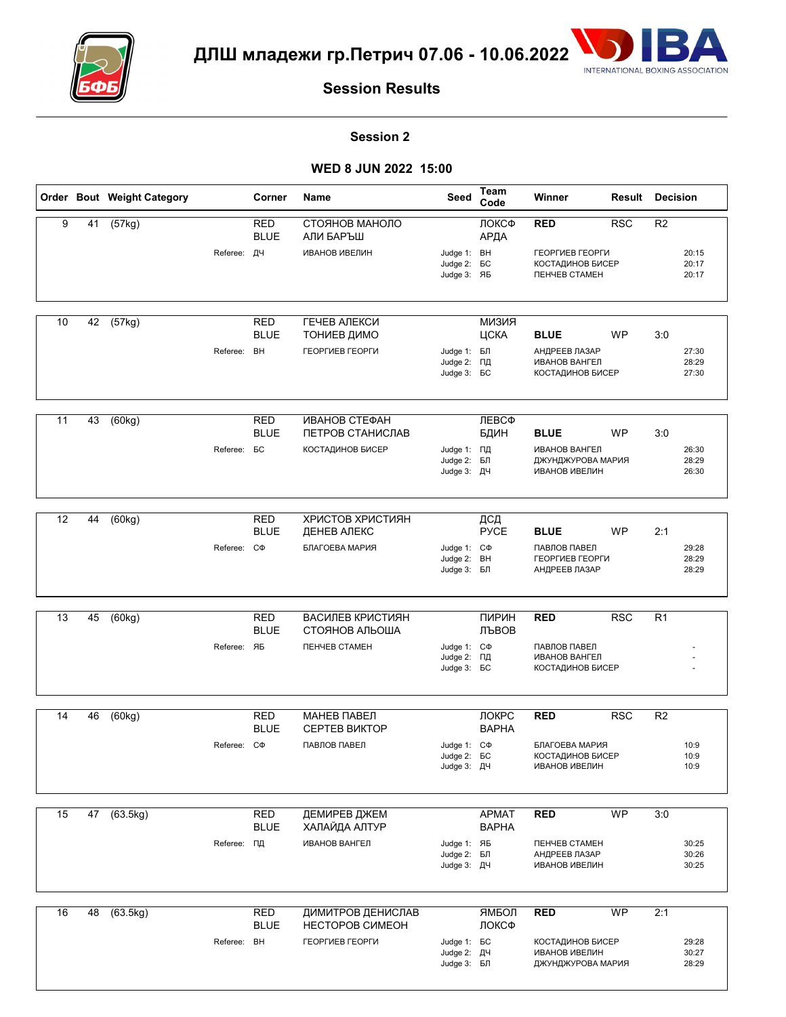



### **Session 2**

|    |    | Order Bout Weight Category |                    | Corner                    | Name                                | Seed                                                   | Team<br>Code                 | Winner                                                                           | Result     | <b>Decision</b> |                         |
|----|----|----------------------------|--------------------|---------------------------|-------------------------------------|--------------------------------------------------------|------------------------------|----------------------------------------------------------------------------------|------------|-----------------|-------------------------|
| 9  | 41 | (57kg)                     |                    | RED<br><b>BLUE</b>        | СТОЯНОВ МАНОЛО<br>АЛИ БАРЪШ         |                                                        | ЛОКСФ<br>АРДА                | <b>RED</b>                                                                       | <b>RSC</b> | R <sub>2</sub>  |                         |
|    |    |                            | Referee: ДЧ        |                           | <b>ИВАНОВ ИВЕЛИН</b>                | Judge 1: BH<br>Judge 2: <b>6C</b><br>Judge 3: ЯБ       |                              | ГЕОРГИЕВ ГЕОРГИ<br><b>КОСТАДИНОВ БИСЕР</b><br><b><i><u>NEHYEB CTAMEH</u></i></b> |            |                 | 20:15<br>20:17<br>20:17 |
| 10 | 42 | (57kg)                     |                    | <b>RED</b>                | ГЕЧЕВ АЛЕКСИ                        |                                                        | <b>КИЗИЯ</b>                 |                                                                                  |            |                 |                         |
|    |    |                            |                    | <b>BLUE</b>               | ТОНИЕВ ДИМО                         |                                                        | ЦСКА                         | <b>BLUE</b>                                                                      | WP         | 3:0             |                         |
|    |    |                            | Referee:           | <b>BH</b>                 | ГЕОРГИЕВ ГЕОРГИ                     | Judge 1: БЛ<br>Judge 2: ПД<br>Judge 3: <b>BC</b>       |                              | АНДРЕЕВ ЛАЗАР<br><b>ИВАНОВ ВАНГЕЛ</b><br>КОСТАДИНОВ БИСЕР                        |            |                 | 27:30<br>28:29<br>27:30 |
|    |    |                            |                    |                           |                                     |                                                        |                              |                                                                                  |            |                 |                         |
| 11 | 43 | (60kg)                     |                    | <b>RED</b><br><b>BLUE</b> | ИВАНОВ СТЕФАН<br>ПЕТРОВ СТАНИСЛАВ   |                                                        | ЛЕВСФ<br>БДИН                | <b>BLUE</b>                                                                      | <b>WP</b>  | 3:0             |                         |
|    |    |                            | Referee: <b>BC</b> |                           | <b>КОСТАДИНОВ БИСЕР</b>             | Judge 1: ПД<br>Judge 2: БЛ<br>Judge 3: ДЧ              |                              | <b>ИВАНОВ ВАНГЕЛ</b><br>ДЖУНДЖУРОВА МАРИЯ<br><b>ИВАНОВ ИВЕЛИН</b>                |            |                 | 26:30<br>28:29<br>26:30 |
|    |    |                            |                    |                           |                                     |                                                        |                              |                                                                                  |            |                 |                         |
| 12 | 44 | (60kg)                     |                    | <b>RED</b><br><b>BLUE</b> | ХРИСТОВ ХРИСТИЯН<br>ДЕНЕВ АЛЕКС     |                                                        | ДСД<br><b>PYCE</b>           | <b>BLUE</b>                                                                      | <b>WP</b>  | 2:1             |                         |
|    |    |                            | Referee:           | $C\Phi$                   | БЛАГОЕВА МАРИЯ                      | Judge 1: C $\Phi$<br>Judge 2: BH<br>Judge 3: БЛ        |                              | ПАВЛОВ ПАВЕЛ<br>ГЕОРГИЕВ ГЕОРГИ<br>АНДРЕЕВ ЛАЗАР                                 |            |                 | 29:28<br>28:29<br>28:29 |
|    |    |                            |                    |                           |                                     |                                                        |                              |                                                                                  |            |                 |                         |
| 13 | 45 | (60kg)                     |                    | <b>RED</b><br><b>BLUE</b> | ВАСИЛЕВ КРИСТИЯН<br>СТОЯНОВ АЛЬОША  |                                                        | ПИРИН<br>ЛЪВОВ               | <b>RED</b>                                                                       | <b>RSC</b> | R <sub>1</sub>  |                         |
|    |    |                            | Referee: ЯБ        |                           | <b><i>ΠΕΗΥΕΒ CTAMEH</i></b>         | Judge 1: C $\Phi$<br>Judge 2: ПД<br>Judge 3: <b>6C</b> |                              | ПАВЛОВ ПАВЕЛ<br><b>ИВАНОВ ВАНГЕЛ</b><br>КОСТАДИНОВ БИСЕР                         |            |                 |                         |
|    |    |                            |                    |                           |                                     |                                                        |                              |                                                                                  |            |                 |                         |
| 14 | 46 | (60kg)                     |                    | <b>RED</b><br>BLUE        | МАНЕВ ПАВЕЛ<br><b>CEPTEB BUKTOP</b> |                                                        | ЛОКРС<br><b>BAPHA</b>        | <b>RED</b>                                                                       | <b>RSC</b> | R <sub>2</sub>  |                         |
|    |    |                            | Referee: C $\Phi$  |                           | ПАВЛОВ ПАВЕЛ                        | Judge 1: C $\Phi$<br>Judge 2: <b>BC</b><br>Judge 3: ДЧ |                              | БЛАГОЕВА МАРИЯ<br><b>КОСТАДИНОВ БИСЕР</b><br><b>ИВАНОВ ИВЕЛИН</b>                |            |                 | 10:9<br>10:9<br>10:9    |
|    |    |                            |                    |                           |                                     |                                                        |                              |                                                                                  |            |                 |                         |
| 15 | 47 | (63.5kg)                   |                    | <b>RED</b><br><b>BLUE</b> | ДЕМИРЕВ ДЖЕМ<br>ХАЛАЙДА АЛТУР       |                                                        | <b>APMAT</b><br><b>BAPHA</b> | <b>RED</b>                                                                       | <b>WP</b>  | 3:0             |                         |
|    |    |                            | Referee: ПД        |                           | <b>ИВАНОВ ВАНГЕЛ</b>                | Judge 1: ЯБ<br>Judge 2: БЛ<br>Judge 3: ДЧ              |                              | <b><i>ΠΕΗΥΕΒ CTAMEH</i></b><br>АНДРЕЕВ ЛАЗАР<br><b>ИВАНОВ ИВЕЛИН</b>             |            |                 | 30:25<br>30:26<br>30:25 |
| 16 | 48 | (63.5kg)                   |                    | <b>RED</b>                | ДИМИТРОВ ДЕНИСЛАВ                   |                                                        | ЯМБОЛ                        | <b>RED</b>                                                                       | WP         | 2:1             |                         |
|    |    |                            |                    | <b>BLUE</b>               | HECTOPOB CUMEOH                     |                                                        | ЛОКСФ                        |                                                                                  |            |                 |                         |
|    |    |                            | Referee: BH        |                           | ГЕОРГИЕВ ГЕОРГИ                     | Judge 1: <b>6C</b><br>Judge 2: ДЧ<br>Judge 3: БЛ       |                              | <b>КОСТАДИНОВ БИСЕР</b><br><b>ИВАНОВ ИВЕЛИН</b><br>ДЖУНДЖУРОВА МАРИЯ             |            |                 | 29:28<br>30:27<br>28:29 |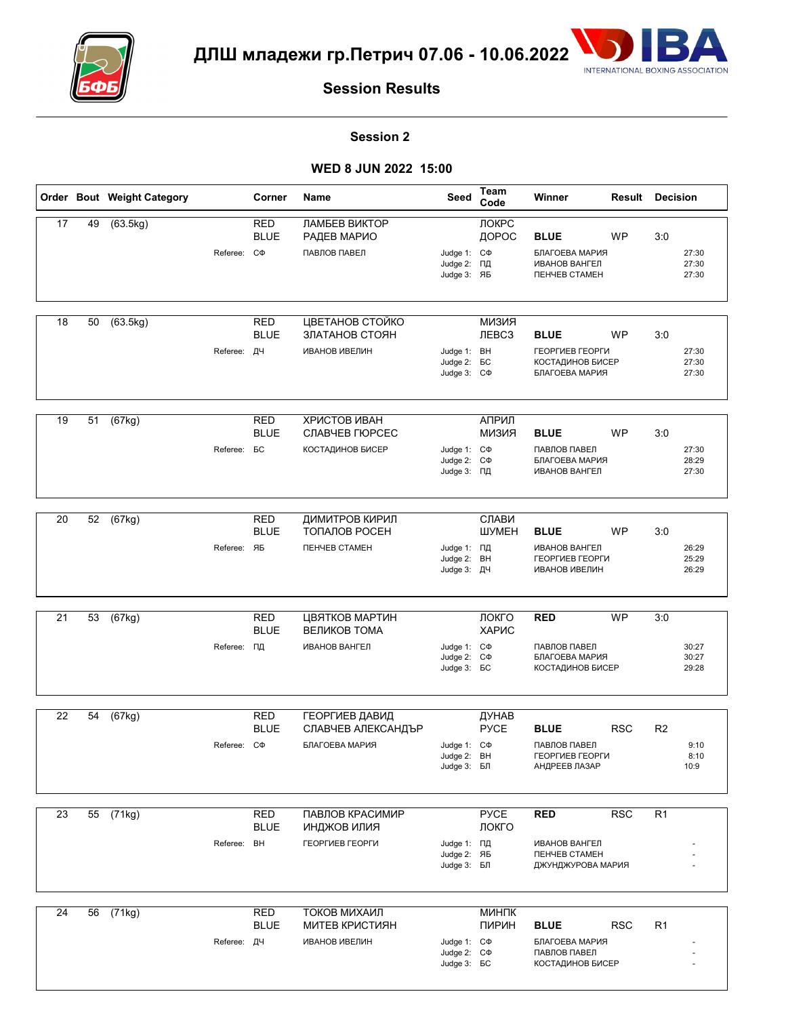



### **Session 2**

|                 |    | Order Bout Weight Category |                    | Corner                    | Name                                                                  | Seed                                                         | Team<br>Code                 | Winner                                                                                 | <b>Result Decision</b> |                |                         |
|-----------------|----|----------------------------|--------------------|---------------------------|-----------------------------------------------------------------------|--------------------------------------------------------------|------------------------------|----------------------------------------------------------------------------------------|------------------------|----------------|-------------------------|
| 17              | 49 | (63.5kg)                   | Referee: C $\Phi$  | <b>RED</b><br><b>BLUE</b> | ЛАМБЕВ ВИКТОР<br>РАДЕВ МАРИО<br>ПАВЛОВ ПАВЕЛ                          | Judge 1: C $\Phi$<br>Judge 2: ПД<br>Judge 3: ЯБ              | ЛОКРС<br>ДОРОС               | <b>BLUE</b><br>БЛАГОЕВА МАРИЯ<br><b>ИВАНОВ ВАНГЕЛ</b><br>ПЕНЧЕВ СТАМЕН                 | <b>WP</b>              | 3:0            | 27:30<br>27:30<br>27:30 |
| 18              | 50 | (63.5kg)                   | Referee: ДЧ        | <b>RED</b><br><b>BLUE</b> | ЦВЕТАНОВ СТОЙКО<br>ЗЛАТАНОВ СТОЯН<br><b>ИВАНОВ ИВЕЛИН</b>             | Judge 1: BH<br>Judge 2: <b>BC</b><br>Judge 3: C $\Phi$       | <b>КИЗИЯ</b><br><b>ЛЕВСЗ</b> | <b>BLUE</b><br>ГЕОРГИЕВ ГЕОРГИ<br>КОСТАДИНОВ БИСЕР<br>БЛАГОЕВА МАРИЯ                   | WP                     | 3:0            | 27:30<br>27:30<br>27:30 |
| 19              | 51 | (67kg)                     | Referee: <b>BC</b> | <b>RED</b><br><b>BLUE</b> | ХРИСТОВ ИВАН<br>СЛАВЧЕВ ГЮРСЕС<br><b>КОСТАДИНОВ БИСЕР</b>             | Judge 1: C $\Phi$<br>Judge 2: C $\Phi$<br>Judge 3: ПД        | АПРИЛ<br><b>КИЗИЯ</b>        | <b>BLUE</b><br>ПАВЛОВ ПАВЕЛ<br>БЛАГОЕВА МАРИЯ<br><b>ИВАНОВ ВАНГЕЛ</b>                  | <b>WP</b>              | 3:0            | 27:30<br>28:29<br>27:30 |
| 20              | 52 | (67kg)                     | Referee: ЯБ        | <b>RED</b><br><b>BLUE</b> | ДИМИТРОВ КИРИЛ<br>ТОПАЛОВ РОСЕН<br><b><i><u>NEHYEB CTAMEH</u></i></b> | Judge 1: ПД<br>Judge 2: BH<br>Judge 3: ДЧ                    | СЛАВИ<br>ШУМЕН               | <b>BLUE</b><br><b>ИВАНОВ ВАНГЕЛ</b><br>ГЕОРГИЕВ ГЕОРГИ<br><b>ИВАНОВ ИВЕЛИН</b>         | WP                     | 3:0            | 26:29<br>25:29<br>26:29 |
| 21              | 53 | (67kg)                     | Referee: ПД        | <b>RED</b><br><b>BLUE</b> | ЦВЯТКОВ МАРТИН<br>ВЕЛИКОВ ТОМА<br><b>ИВАНОВ ВАНГЕЛ</b>                | Judge 1: C $\Phi$<br>Judge 2: C $\Phi$<br>Judge 3: <b>BC</b> | ЛОКГО<br>ХАРИС               | <b>RED</b><br>ПАВЛОВ ПАВЕЛ<br>БЛАГОЕВА МАРИЯ<br>КОСТАДИНОВ БИСЕР                       | <b>WP</b>              | 3:0            | 30:27<br>30:27<br>29:28 |
| 22              | 54 | (67kg)                     | Referee: C $\Phi$  | <b>RED</b><br><b>BLUE</b> | ГЕОРГИЕВ ДАВИД<br>СЛАВЧЕВ АЛЕКСАНДЪР<br>БЛАГОЕВА МАРИЯ                | Judge 1: C $\Phi$<br>Judge 2: BH<br>Judge 3: БЛ              | ДУНАВ<br><b>PYCE</b>         | <b>BLUE</b><br>ПАВЛОВ ПАВЕЛ<br>ГЕОРГИЕВ ГЕОРГИ<br>АНДРЕЕВ ЛАЗАР                        | <b>RSC</b>             | R <sub>2</sub> | 9:10<br>8:10<br>10:9    |
| $\overline{23}$ | 55 | (71kg)                     | Referee: BH        | <b>RED</b><br><b>BLUE</b> | ПАВЛОВ КРАСИМИР<br>ИНДЖОВ ИЛИЯ<br>ГЕОРГИЕВ ГЕОРГИ                     | Judge 1: ПД<br>Judge 2: ЯБ<br>Judge 3: БЛ                    | <b>PYCE</b><br>ЛОКГО         | <b>RED</b><br><b>ИВАНОВ ВАНГЕЛ</b><br><b><i>ΠΕΗΥΕΒ CTAMEH</i></b><br>ДЖУНДЖУРОВА МАРИЯ | RSC                    | R <sub>1</sub> |                         |
| 24              | 56 | $\sqrt{71kg}$              | Referee: ДЧ        | <b>RED</b><br><b>BLUE</b> | ТОКОВ МИХАИЛ<br><b>МИТЕВ КРИСТИЯН</b><br><b>ИВАНОВ ИВЕЛИН</b>         | Judge 1: C $\Phi$<br>Judge 2: C $\Phi$<br>Judge 3: <b>6C</b> | МИНПК<br>ПИРИН               | <b>BLUE</b><br>БЛАГОЕВА МАРИЯ<br>ПАВЛОВ ПАВЕЛ<br><b>КОСТАДИНОВ БИСЕР</b>               | <b>RSC</b>             | R <sub>1</sub> |                         |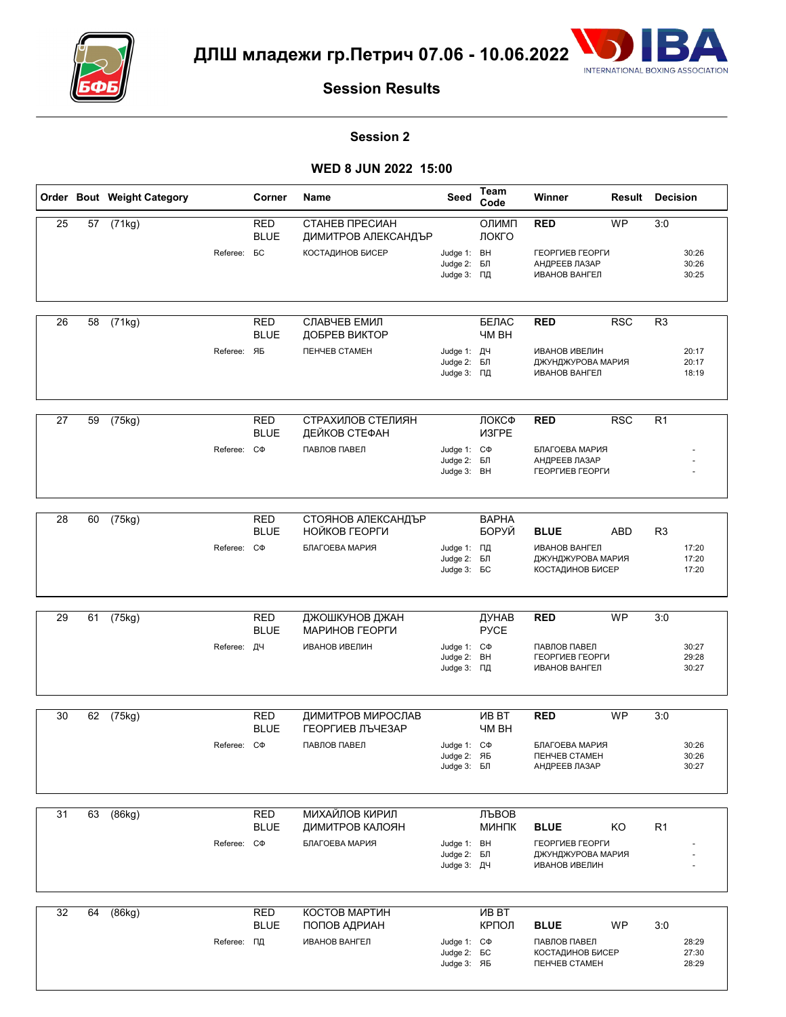



### **Session 2**

|    |    | Order Bout Weight Category | Corner                    | Name                                  | Seed                                                   | Team<br>Code           | Winner                                                                 | Result     | <b>Decision</b> |                         |
|----|----|----------------------------|---------------------------|---------------------------------------|--------------------------------------------------------|------------------------|------------------------------------------------------------------------|------------|-----------------|-------------------------|
| 25 | 57 | (71kg)                     | <b>RED</b><br><b>BLUE</b> | СТАНЕВ ПРЕСИАН<br>ДИМИТРОВ АЛЕКСАНДЪР |                                                        | ОЛИМП<br>ЛОКГО         | <b>RED</b>                                                             | <b>WP</b>  | 3:0             |                         |
|    |    |                            | Referee: <b>BC</b>        | <b>КОСТАДИНОВ БИСЕР</b>               | Judge 1: BH<br>Judge 2: БЛ<br>Judge 3: ПД              |                        | ГЕОРГИЕВ ГЕОРГИ<br>АНДРЕЕВ ЛАЗАР<br>ИВАНОВ ВАНГЕЛ                      |            |                 | 30:26<br>30:26<br>30:25 |
| 26 | 58 | (71kg)                     | <b>RED</b>                | СЛАВЧЕВ ЕМИЛ                          |                                                        | БЕЛАС                  | <b>RED</b>                                                             | <b>RSC</b> | R <sub>3</sub>  |                         |
|    |    |                            | <b>BLUE</b>               | ДОБРЕВ ВИКТОР                         |                                                        | <b>HM BH</b>           |                                                                        |            |                 |                         |
|    |    |                            | Referee: ЯБ               | <b><i>ΠΕΗΥΕΒ CTAMEH</i></b>           | Judge 1: ДЧ<br>Judge 2: БЛ<br>Judge 3: ПД              |                        | <b>ИВАНОВ ИВЕЛИН</b><br>ДЖУНДЖУРОВА МАРИЯ<br><b>ИВАНОВ ВАНГЕЛ</b>      |            |                 | 20:17<br>20:17<br>18:19 |
| 27 | 59 | (75kg)                     | <b>RED</b>                | СТРАХИЛОВ СТЕЛИЯН                     |                                                        | ЛОКСФ                  | <b>RED</b>                                                             | <b>RSC</b> | R1              |                         |
|    |    |                            | <b>BLUE</b>               | ДЕЙКОВ СТЕФАН                         |                                                        | ИЗГРЕ                  |                                                                        |            |                 |                         |
|    |    |                            | Referee: C $\Phi$         | ПАВЛОВ ПАВЕЛ                          | Judge 1: C $\Phi$<br>Judge 2: БЛ<br>Judge 3: BH        |                        | БЛАГОЕВА МАРИЯ<br>АНДРЕЕВ ЛАЗАР<br>ГЕОРГИЕВ ГЕОРГИ                     |            |                 |                         |
| 28 | 60 | (75kg)                     | <b>RED</b>                | СТОЯНОВ АЛЕКСАНДЪР                    |                                                        | <b>BAPHA</b>           |                                                                        |            |                 |                         |
|    |    |                            | <b>BLUE</b>               | НОЙКОВ ГЕОРГИ                         |                                                        | БОРУЙ                  | <b>BLUE</b>                                                            | <b>ABD</b> | R <sub>3</sub>  |                         |
|    |    |                            | Referee: C $\Phi$         | БЛАГОЕВА МАРИЯ                        | Judge 1: ПД<br>Judge 2: БЛ<br>Judge 3: <b>BC</b>       |                        | <b>ИВАНОВ ВАНГЕЛ</b><br>ДЖУНДЖУРОВА МАРИЯ<br><b>КОСТАДИНОВ БИСЕР</b>   |            |                 | 17:20<br>17:20<br>17:20 |
| 29 | 61 | (75kg)                     | <b>RED</b><br><b>BLUE</b> | ДЖОШКУНОВ ДЖАН<br>МАРИНОВ ГЕОРГИ      |                                                        | ДУНАВ<br><b>PYCE</b>   | <b>RED</b>                                                             | <b>WP</b>  | 3:0             |                         |
|    |    |                            | Referee: ДЧ               | <b>ИВАНОВ ИВЕЛИН</b>                  | Judge 1: C $\Phi$<br>Judge 2: BH<br>Judge 3: ПД        |                        | ПАВЛОВ ПАВЕЛ<br>ГЕОРГИЕВ ГЕОРГИ<br><b>ИВАНОВ ВАНГЕЛ</b>                |            |                 | 30:27<br>29:28<br>30:27 |
| 30 | 62 | (75kg)                     | <b>RED</b><br><b>BLUE</b> | ДИМИТРОВ МИРОСЛАВ<br>ГЕОРГИЕВ ЛЪЧЕЗАР |                                                        | <b>VIB BT</b><br>YM BH | <b>RED</b>                                                             | <b>WP</b>  | 3:0             |                         |
|    |    |                            | Referee: C $\Phi$         | ПАВЛОВ ПАВЕЛ                          | Judge 1: C $\Phi$<br>Judge 2: ЯБ<br>Judge 3: БЛ        |                        | БЛАГОЕВА МАРИЯ<br>ПЕНЧЕВ СТАМЕН<br>АНДРЕЕВ ЛАЗАР                       |            |                 | 30:26<br>30:26<br>30:27 |
| 31 | 63 | (86kg)                     | <b>RED</b><br><b>BLUE</b> | МИХАЙЛОВ КИРИЛ<br>ДИМИТРОВ КАЛОЯН     |                                                        | ЛЪВОВ<br>МИНПК         | <b>BLUE</b>                                                            | KO         | R <sub>1</sub>  |                         |
|    |    |                            | Referee: C $\Phi$         | БЛАГОЕВА МАРИЯ                        | Judge 1: BH<br>Judge 2: БЛ<br>Judge 3: ДЧ              |                        | ГЕОРГИЕВ ГЕОРГИ<br>ДЖУНДЖУРОВА МАРИЯ<br><b>ИВАНОВ ИВЕЛИН</b>           |            |                 |                         |
| 32 | 64 | (86kg)                     | <b>RED</b>                | КОСТОВ МАРТИН                         |                                                        | <b>VIB BT</b>          |                                                                        |            |                 |                         |
|    |    |                            | <b>BLUE</b>               | ПОПОВ АДРИАН                          |                                                        | КРПОЛ                  | <b>BLUE</b>                                                            | WP         | 3:0             |                         |
|    |    |                            | Referee: ПД               | <b>ИВАНОВ ВАНГЕЛ</b>                  | Judge 1: C $\Phi$<br>Judge 2: <b>BC</b><br>Judge 3: ЯБ |                        | ПАВЛОВ ПАВЕЛ<br><b>КОСТАДИНОВ БИСЕР</b><br><b><i>ΠΕΗΥΕΒ CTAMEH</i></b> |            |                 | 28:29<br>27:30<br>28:29 |